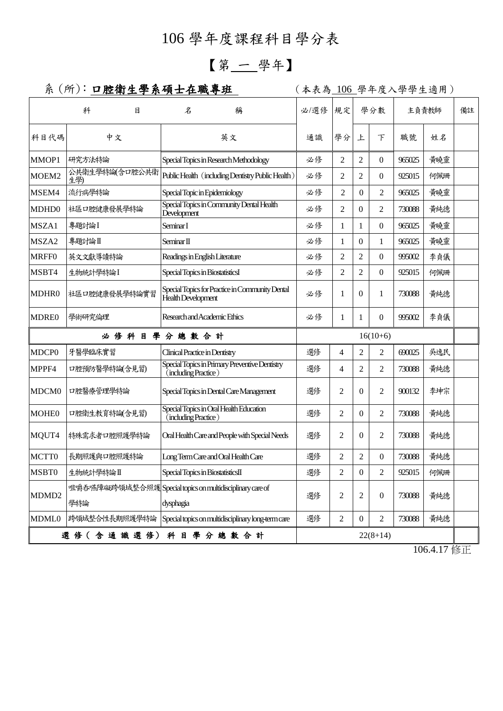## 106 學年度課程科目學分表

## 【第 一 學年】

## 系 (所): 口腔衛生學系碩士在職專班 | (本表為 106 學年度入學學生適用)

|                                               | 科                     | 目 | 名                                                        | 稱                                                         |    | 必/選修       | 規定             | 學分數              |                  | 主負責教師  |     | 備註 |
|-----------------------------------------------|-----------------------|---|----------------------------------------------------------|-----------------------------------------------------------|----|------------|----------------|------------------|------------------|--------|-----|----|
| 科目代碼                                          | 中文                    |   |                                                          | 英文                                                        |    | 通識         | 學分             | 上                | 下                | 職號     | 姓名  |    |
| MMOP1                                         | 研究方法特論                |   |                                                          | Special Topics in Research Methodology                    |    | 必修         | $\overline{2}$ | $\overline{2}$   | $\mathbf{0}$     | 965025 | 黃曉靈 |    |
| MOEM2                                         | 公共衛生學特論(含口腔公共衛<br>生學) |   |                                                          | Public Health (including Dentistry Public Health)         |    | 必修         | $\overline{c}$ | 2                | $\theta$         | 925015 | 何佩珊 |    |
| MSEM4                                         | 流行病學特論                |   | Special Topic in Epidemiology                            |                                                           | 必修 | 2          | $\overline{0}$ | 2                | 965025           | 黃曉靈    |     |    |
| MDHD0                                         | 社區口腔健康發展學特論           |   | Special Topics in Community Dental Health<br>Development |                                                           |    | 必修         | $\overline{2}$ | $\theta$         | 2                | 730088 | 黃純德 |    |
| MSZA1                                         | 專題討論I                 |   | Seminar I                                                |                                                           |    | 必修         | $\mathbf{1}$   | 1                | $\mathbf{0}$     | 965025 | 黃曉靈 |    |
| MSZA2                                         | 專題討論Ⅱ                 |   | Seminar II                                               |                                                           |    | 必修         | 1              | $\overline{0}$   | 1                | 965025 | 黃曉靈 |    |
| <b>MRFF0</b>                                  | 英文文獻導讀特論              |   | Readings in English Literature                           |                                                           |    | 必修         | $\overline{c}$ | $\overline{2}$   | $\theta$         | 995002 | 李貞儀 |    |
| MSBT4                                         | 生物統計學特論I              |   | Special Topics in BiostatisticsI                         |                                                           |    | 必修         | $\overline{c}$ | $\overline{2}$   | $\theta$         | 925015 | 何佩珊 |    |
| MDHR0                                         | 社區口腔健康發展學特論實習         |   | Health Development                                       | Special Topics for Practice in Community Dental           |    | 必修         | 1              | $\overline{0}$   | 1                | 730088 | 黃純德 |    |
| <b>MDRE0</b>                                  | 學術研究倫理                |   |                                                          | Research and Academic Ethics                              |    | 必修         | 1              | 1                | $\mathbf{0}$     | 995002 | 李貞儀 |    |
| 必修科目學分總數合計                                    |                       |   |                                                          |                                                           |    | $16(10+6)$ |                |                  |                  |        |     |    |
| MDCP <sub>0</sub>                             | 牙醫學臨床實習               |   | Clinical Practice in Dentistry                           |                                                           |    | 選修         | 4              | $\overline{2}$   | 2                | 690025 | 吳逸民 |    |
| MPPF4                                         | 口腔預防醫學特論(含見習)         |   | (including Practice)                                     | Special Topics in Primary Preventive Dentistry            |    | 選修         | 4              | 2                | 2                | 730088 | 黃純德 |    |
| MDCM <sub>0</sub>                             | 口腔醫療管理學特論             |   |                                                          | Special Topics in Dental Care Management                  |    | 選修         | 2              | $\overline{0}$   | 2                | 900132 | 李坤宗 |    |
| <b>MOHE0</b>                                  | 口腔衛生教育特論(含見習)         |   | (including Practice)                                     | Special Topics in Oral Health Education                   |    | 選修         | $\overline{c}$ | $\Omega$         | 2                | 730088 | 黃純德 |    |
| MQUT4                                         | 特殊需求者口腔照護學特論          |   |                                                          | Oral Health Care and People with Special Needs            |    | 選修         | 2              | $\overline{0}$   | 2                | 730088 | 黃純德 |    |
| MCTT0                                         | 長期照護與口腔照護特論           |   |                                                          | Long Term Care and Oral Health Care                       |    | 選修         | 2              | 2                | 0                | 730088 | 黃純德 |    |
| <b>MSBT0</b>                                  | 生物統計學特論Ⅱ              |   | Special Topics in BiostatisticsII                        |                                                           |    | 選修         | $\overline{c}$ | $\boldsymbol{0}$ | 2                | 925015 | 何佩珊 |    |
| MDMD <sub>2</sub>                             | 學特論                   |   | dysphagia                                                | 咀嚼吞嚥障礙跨領域整合照護 Special topics on multidisciplinary care of |    | 選修         | 2              | $\overline{c}$   | $\boldsymbol{0}$ | 730088 | 黃純德 |    |
| <b>MDML0</b>                                  | 跨領域整合性長期照護學特論         |   |                                                          | Special topics on multidisciplinary long-term care        |    | 選修         | $\overline{2}$ | $\mathbf{0}$     | 2                | 730088 | 黃純德 |    |
| 選 修 (含 通 識 選 修) 科 目 學 分 總 數 合 計<br>$22(8+14)$ |                       |   |                                                          |                                                           |    |            |                |                  |                  |        |     |    |
|                                               |                       |   |                                                          |                                                           |    |            |                |                  |                  |        |     |    |

106.4.17 修正